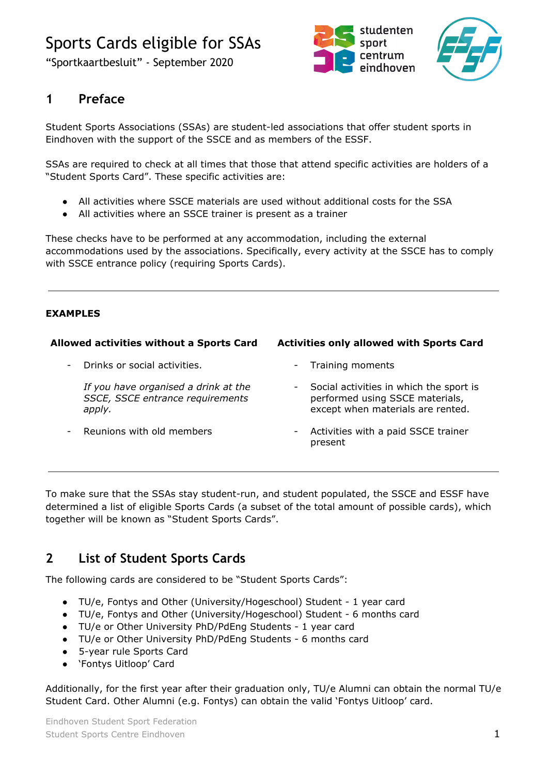## Sports Cards eligible for SSAs

"Sportkaartbesluit" - September 2020





## **1 Preface**

Student Sports Associations (SSAs) are student-led associations that offer student sports in Eindhoven with the support of the SSCE and as members of the ESSF.

SSAs are required to check at all times that those that attend specific activities are holders of a "Student Sports Card". These specific activities are:

- All activities where SSCE materials are used without additional costs for the SSA
- All activities where an SSCE trainer is present as a trainer

These checks have to be performed at any accommodation, including the external accommodations used by the associations. Specifically, every activity at the SSCE has to comply with SSCE entrance policy (requiring Sports Cards).

#### **EXAMPLES**

#### **Allowed activities without a Sports Card**

- Drinks or social activities.

*If you have organised a drink at the SSCE, SSCE entrance requirements apply.*

Reunions with old members

#### **Activities only allowed with Sports Card**

- Training moments
- Social activities in which the sport is performed using SSCE materials, except when materials are rented.
- Activities with a paid SSCE trainer present

To make sure that the SSAs stay student-run, and student populated, the SSCE and ESSF have determined a list of eligible Sports Cards (a subset of the total amount of possible cards), which together will be known as "Student Sports Cards".

### **2 List of Student Sports Cards**

The following cards are considered to be "Student Sports Cards":

- TU/e, Fontys and Other (University/Hogeschool) Student 1 year card
- TU/e, Fontys and Other (University/Hogeschool) Student 6 months card
- TU/e or Other University PhD/PdEng Students 1 year card
- TU/e or Other University PhD/PdEng Students 6 months card
- 5-year rule Sports Card
- 'Fontys Uitloop' Card

Additionally, for the first year after their graduation only, TU/e Alumni can obtain the normal TU/e Student Card. Other Alumni (e.g. Fontys) can obtain the valid 'Fontys Uitloop' card.